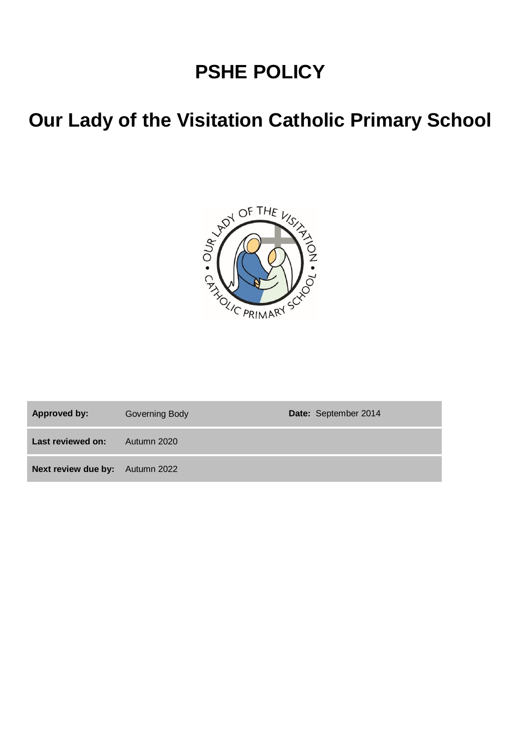# **PSHE POLICY**

# **Our Lady of the Visitation Catholic Primary School**



Approved by: Governing Body **Date:** September 2014 **Last reviewed on:** Autumn 2020 **Next review due by:** Autumn 2022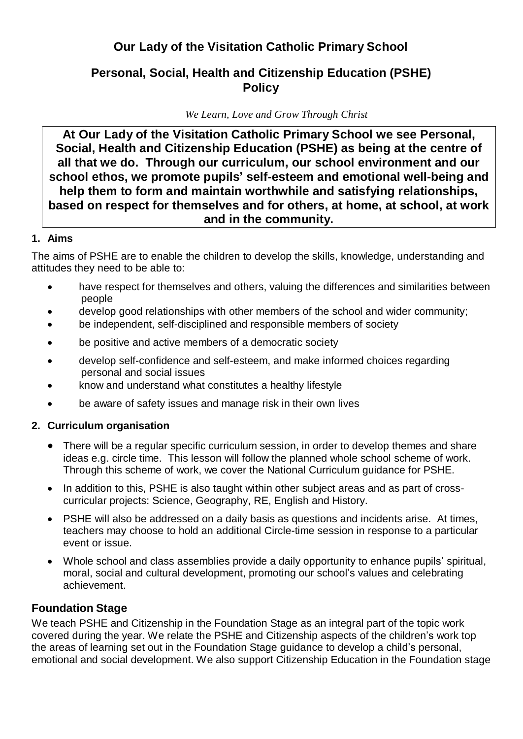# **Our Lady of the Visitation Catholic Primary School**

# **Personal, Social, Health and Citizenship Education (PSHE) Policy**

*We Learn, Love and Grow Through Christ*

**At Our Lady of the Visitation Catholic Primary School we see Personal, Social, Health and Citizenship Education (PSHE) as being at the centre of all that we do. Through our curriculum, our school environment and our school ethos, we promote pupils' self-esteem and emotional well-being and help them to form and maintain worthwhile and satisfying relationships, based on respect for themselves and for others, at home, at school, at work and in the community.**

## **1. Aims**

The aims of PSHE are to enable the children to develop the skills, knowledge, understanding and attitudes they need to be able to:

- have respect for themselves and others, valuing the differences and similarities between people
- develop good relationships with other members of the school and wider community;
- be independent, self-disciplined and responsible members of society
- be positive and active members of a democratic society
- develop self-confidence and self-esteem, and make informed choices regarding personal and social issues
- know and understand what constitutes a healthy lifestyle
- be aware of safety issues and manage risk in their own lives

# **2. Curriculum organisation**

- There will be a regular specific curriculum session, in order to develop themes and share ideas e.g. circle time. This lesson will follow the planned whole school scheme of work. Through this scheme of work, we cover the National Curriculum guidance for PSHE.
- In addition to this, PSHE is also taught within other subject areas and as part of crosscurricular projects: Science, Geography, RE, English and History.
- PSHE will also be addressed on a daily basis as questions and incidents arise. At times, teachers may choose to hold an additional Circle-time session in response to a particular event or issue.
- Whole school and class assemblies provide a daily opportunity to enhance pupils' spiritual, moral, social and cultural development, promoting our school's values and celebrating achievement.

# **Foundation Stage**

We teach PSHE and Citizenship in the Foundation Stage as an integral part of the topic work covered during the year. We relate the PSHE and Citizenship aspects of the children's work top the areas of learning set out in the Foundation Stage guidance to develop a child's personal, emotional and social development. We also support Citizenship Education in the Foundation stage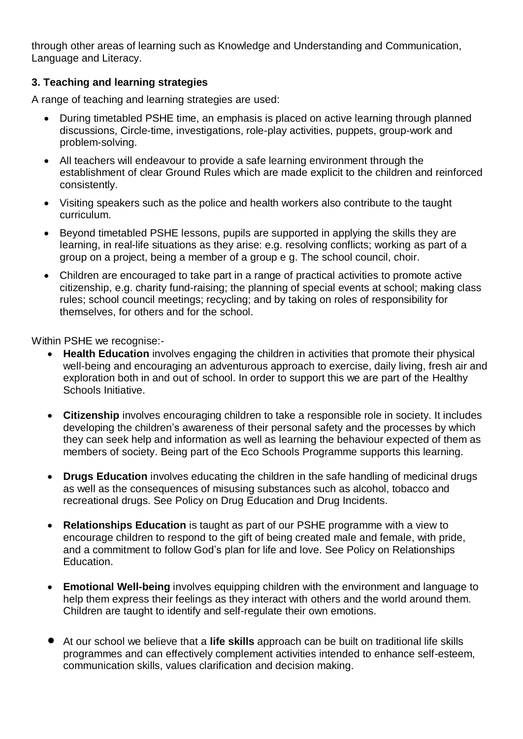through other areas of learning such as Knowledge and Understanding and Communication, Language and Literacy.

#### **3. Teaching and learning strategies**

A range of teaching and learning strategies are used:

- During timetabled PSHE time, an emphasis is placed on active learning through planned discussions, Circle-time, investigations, role-play activities, puppets, group-work and problem-solving.
- All teachers will endeavour to provide a safe learning environment through the establishment of clear Ground Rules which are made explicit to the children and reinforced consistently.
- Visiting speakers such as the police and health workers also contribute to the taught curriculum.
- Beyond timetabled PSHE lessons, pupils are supported in applying the skills they are learning, in real-life situations as they arise: e.g. resolving conflicts; working as part of a group on a project, being a member of a group e g. The school council, choir.
- Children are encouraged to take part in a range of practical activities to promote active citizenship, e.g. charity fund-raising; the planning of special events at school; making class rules; school council meetings; recycling; and by taking on roles of responsibility for themselves, for others and for the school.

Within PSHE we recognise:-

- **Health Education** involves engaging the children in activities that promote their physical well-being and encouraging an adventurous approach to exercise, daily living, fresh air and exploration both in and out of school. In order to support this we are part of the Healthy Schools Initiative.
- **Citizenship** involves encouraging children to take a responsible role in society. It includes developing the children's awareness of their personal safety and the processes by which they can seek help and information as well as learning the behaviour expected of them as members of society. Being part of the Eco Schools Programme supports this learning.
- **Drugs Education** involves educating the children in the safe handling of medicinal drugs as well as the consequences of misusing substances such as alcohol, tobacco and recreational drugs. See Policy on Drug Education and Drug Incidents.
- **Relationships Education** is taught as part of our PSHE programme with a view to encourage children to respond to the gift of being created male and female, with pride, and a commitment to follow God's plan for life and love. See Policy on Relationships Education.
- **Emotional Well-being** involves equipping children with the environment and language to help them express their feelings as they interact with others and the world around them. Children are taught to identify and self-regulate their own emotions.
- At our school we believe that <sup>a</sup> **life skills** approach can be built on traditional life skills programmes and can effectively complement activities intended to enhance self-esteem, communication skills, values clarification and decision making.